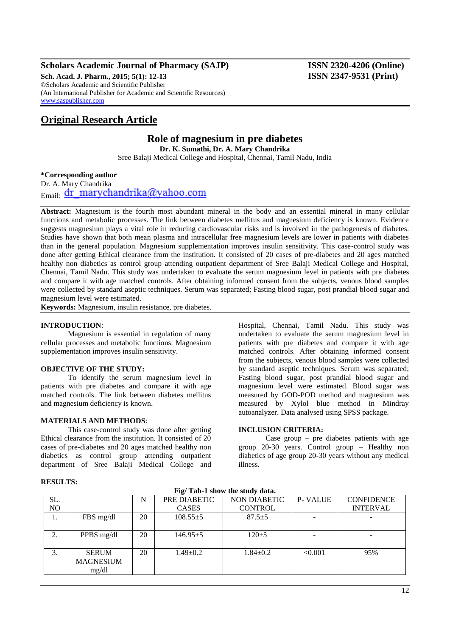# **Scholars Academic Journal of Pharmacy (SAJP) ISSN 2320-4206 (Online)**

**Sch. Acad. J. Pharm., 2015; 5(1): 12-13 ISSN 2347-9531 (Print)** ©Scholars Academic and Scientific Publisher (An International Publisher for Academic and Scientific Resources) [www.saspublisher.com](http://www.saspublisher.com/)

# **Original Research Article**

# **Role of magnesium in pre diabetes**

**Dr. K. Sumathi, Dr. A. Mary Chandrika**

Sree Balaji Medical College and Hospital, Chennai, Tamil Nadu, India

**\*Corresponding author**

Dr. A. Mary Chandrika Email: dr\_marychandrika@yahoo.com

**Abstract:** Magnesium is the fourth most abundant mineral in the body and an essential mineral in many cellular functions and metabolic processes. The link between diabetes mellitus and magnesium deficiency is known. Evidence suggests magnesium plays a vital role in reducing cardiovascular risks and is involved in the pathogenesis of diabetes. Studies have shown that both mean plasma and intracellular free magnesium levels are lower in patients with diabetes than in the general population. Magnesium supplementation improves insulin sensitivity. This case-control study was done after getting Ethical clearance from the institution. It consisted of 20 cases of pre-diabetes and 20 ages matched healthy non diabetics as control group attending outpatient department of Sree Balaji Medical College and Hospital, Chennai, Tamil Nadu. This study was undertaken to evaluate the serum magnesium level in patients with pre diabetes and compare it with age matched controls. After obtaining informed consent from the subjects, venous blood samples were collected by standard aseptic techniques. Serum was separated; Fasting blood sugar, post prandial blood sugar and magnesium level were estimated.

**Keywords:** Magnesium, insulin resistance, pre diabetes.

#### **INTRODUCTION**:

Magnesium is essential in regulation of many cellular processes and metabolic functions. Magnesium supplementation improves insulin sensitivity.

#### **OBJECTIVE OF THE STUDY:**

To identify the serum magnesium level in patients with pre diabetes and compare it with age matched controls. The link between diabetes mellitus and magnesium deficiency is known.

#### **MATERIALS AND METHODS**:

This case-control study was done after getting Ethical clearance from the institution. It consisted of 20 cases of pre-diabetes and 20 ages matched healthy non diabetics as control group attending outpatient department of Sree Balaji Medical College and

Hospital, Chennai, Tamil Nadu. This study was undertaken to evaluate the serum magnesium level in patients with pre diabetes and compare it with age matched controls. After obtaining informed consent from the subjects, venous blood samples were collected by standard aseptic techniques. Serum was separated; Fasting blood sugar, post prandial blood sugar and magnesium level were estimated. Blood sugar was measured by GOD-POD method and magnesium was measured by Xylol blue method in Mindray autoanalyzer. Data analysed using SPSS package.

#### **INCLUSION CRITERIA:**

Case group  $-$  pre diabetes patients with age group 20-30 years. Control group – Healthy non diabetics of age group 20-30 years without any medical illness.

| The Tap-T show the staur data. |                  |    |                |                |         |                   |
|--------------------------------|------------------|----|----------------|----------------|---------|-------------------|
| SL.                            |                  | N  | PRE DIABETIC   | NON DIABETIC   | P-VALUE | <b>CONFIDENCE</b> |
| NO                             |                  |    | <b>CASES</b>   | <b>CONTROL</b> |         | <b>INTERVAL</b>   |
| 1.                             | FBS mg/dl        | 20 | $108.55 \pm 5$ | $87.5 \pm 5$   |         |                   |
|                                |                  |    |                |                |         |                   |
| 2.                             | PPBS mg/dl       | 20 | $146.95 \pm 5$ | $120 + 5$      |         | ۰.                |
|                                |                  |    |                |                |         |                   |
| 3.                             | <b>SERUM</b>     | 20 | $1.49 \pm 0.2$ | $1.84 \pm 0.2$ | < 0.001 | 95%               |
|                                | <b>MAGNESIUM</b> |    |                |                |         |                   |
|                                | mg/dl            |    |                |                |         |                   |

**Fig/ Tab-1 show the study data.**

### **RESULTS:**